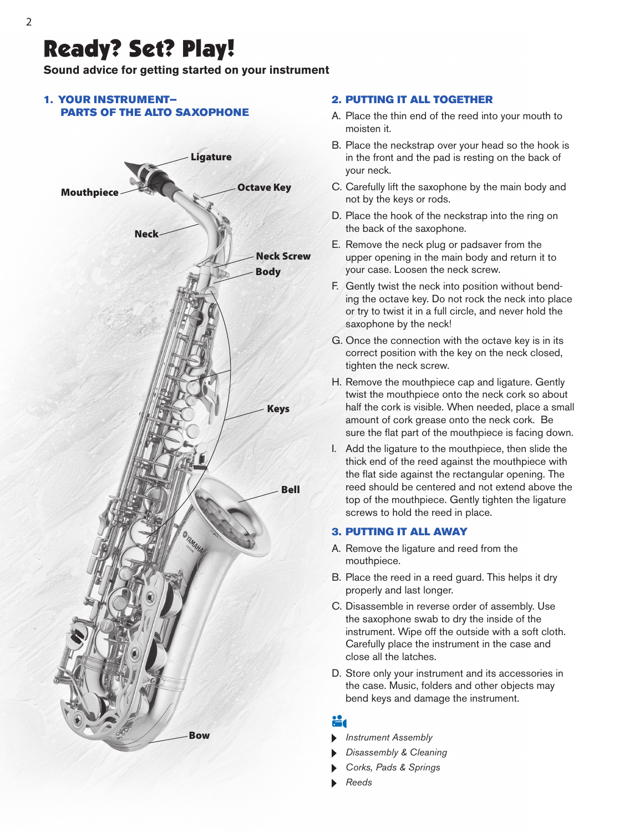# Ready? Set? Play!

**Sound advice for getting started on your instrument**

### 1. YOUR INSTRUMENT— PARTS OF THE ALTO SAXOPHONE



#### 2. PUTTING IT ALL TOGETHER

- A. Place the thin end of the reed into your mouth to moisten it.
- B. Place the neckstrap over your head so the hook is in the front and the pad is resting on the back of your neck.
- C. Carefully lift the saxophone by the main body and not by the keys or rods.
- D. Place the hook of the neckstrap into the ring on the back of the saxophone.
- E. Remove the neck plug or padsaver from the upper opening in the main body and return it to your case. Loosen the neck screw.
- F. Gently twist the neck into position without bending the octave key. Do not rock the neck into place or try to twist it in a full circle, and never hold the saxophone by the neck!
- G. Once the connection with the octave key is in its correct position with the key on the neck closed, tighten the neck screw.
- H. Remove the mouthpiece cap and ligature. Gently twist the mouthpiece onto the neck cork so about half the cork is visible. When needed, place a small amount of cork grease onto the neck cork. Be sure the flat part of the mouthpiece is facing down.
- I. Add the ligature to the mouthpiece, then slide the thick end of the reed against the mouthpiece with the flat side against the rectangular opening. The reed should be centered and not extend above the top of the mouthpiece. Gently tighten the ligature screws to hold the reed in place.

#### 3. PUTTING IT ALL AWAY

- A. Remove the ligature and reed from the mouthpiece.
- B. Place the reed in a reed guard. This helps it dry properly and last longer.
- C. Disassemble in reverse order of assembly. Use the saxophone swab to dry the inside of the instrument. Wipe off the outside with a soft cloth. Carefully place the instrument in the case and close all the latches.
- D. Store only your instrument and its accessories in the case. Music, folders and other objects may bend keys and damage the instrument.

### X.

- 
- *Disassembly & Cleaning*
- *Corks, Pads & Springs*
- *Reeds*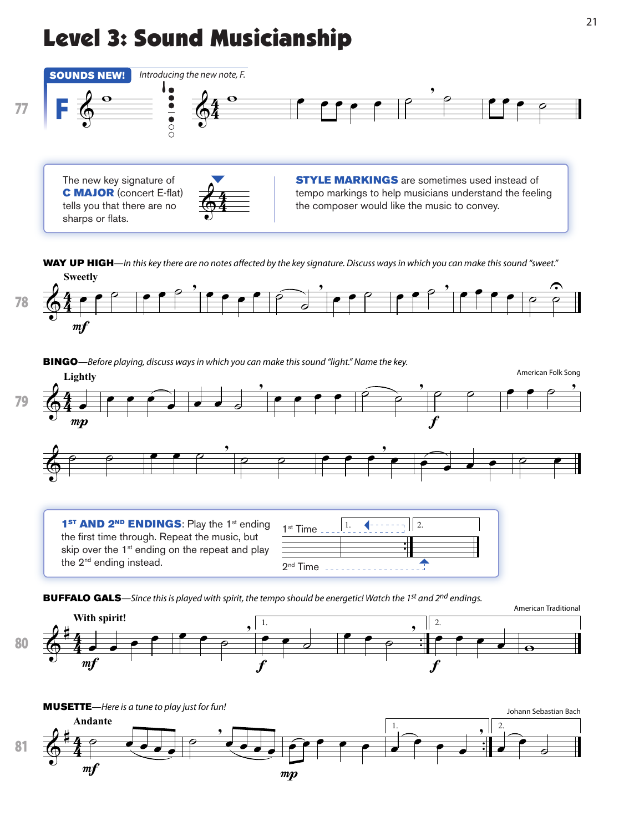# Level 3: Sound Musicianship



The new key signature of **C MAJOR** (concert E-flat) tells you that there are no sharps or flats.



**STYLE MARKINGS** are sometimes used instead of  $\overline{\bigoplus}$   $\overline{4}$   $\overline{4}$   $\overline{2}$   $\overline{4}$   $\overline{2}$   $\overline{4}$   $\overline{2}$   $\overline{2}$   $\overline{2}$   $\overline{2}$   $\overline{2}$   $\overline{2}$   $\overline{2}$   $\overline{2}$   $\overline{2}$   $\overline{2}$   $\overline{2}$   $\overline{2}$   $\overline{2}$   $\overline{2}$   $\overline{2}$   $\overline{2}$   $\overline{2}$   $\over$ the composer would like the music to convey.

**Sweetly** WAY UP HIGH—In this key there are no notes affected by the key signature. Discuss ways in which you can make this sound "sweet."



**BINGO**—Before playing, discuss ways in which you can make this sound "light." Name the key.